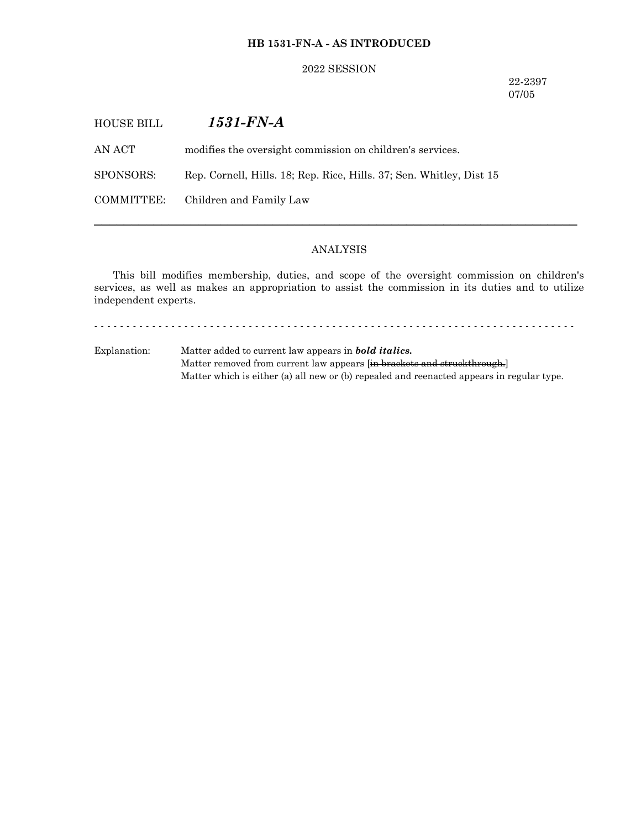### **HB 1531-FN-A - AS INTRODUCED**

#### 2022 SESSION

22-2397 07/05

AN ACT modifies the oversight commission on children's services.

SPONSORS: Rep. Cornell, Hills. 18; Rep. Rice, Hills. 37; Sen. Whitley, Dist 15

COMMITTEE: Children and Family Law

# ANALYSIS

─────────────────────────────────────────────────────────────────

This bill modifies membership, duties, and scope of the oversight commission on children's services, as well as makes an appropriation to assist the commission in its duties and to utilize independent experts.

- - - - - - - - - - - - - - - - - - - - - - - - - - - - - - - - - - - - - - - - - - - - - - - - - - - - - - - - - - - - - - - - - - - - - - - - - - -

Explanation: Matter added to current law appears in *bold italics.* Matter removed from current law appears [in brackets and struckthrough.] Matter which is either (a) all new or (b) repealed and reenacted appears in regular type.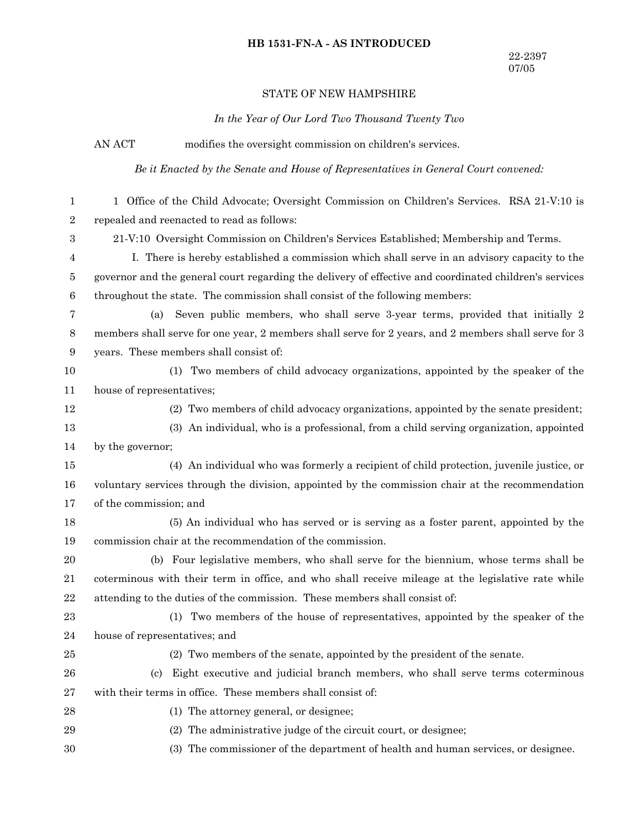#### **HB 1531-FN-A - AS INTRODUCED**

### STATE OF NEW HAMPSHIRE

*In the Year of Our Lord Two Thousand Twenty Two*

AN ACT modifies the oversight commission on children's services. *Be it Enacted by the Senate and House of Representatives in General Court convened:* 1 Office of the Child Advocate; Oversight Commission on Children's Services. RSA 21-V:10 is repealed and reenacted to read as follows: 21-V:10 Oversight Commission on Children's Services Established; Membership and Terms. I. There is hereby established a commission which shall serve in an advisory capacity to the governor and the general court regarding the delivery of effective and coordinated children's services throughout the state. The commission shall consist of the following members: (a) Seven public members, who shall serve 3-year terms, provided that initially 2 members shall serve for one year, 2 members shall serve for 2 years, and 2 members shall serve for 3 years. These members shall consist of: (1) Two members of child advocacy organizations, appointed by the speaker of the house of representatives; (2) Two members of child advocacy organizations, appointed by the senate president; (3) An individual, who is a professional, from a child serving organization, appointed by the governor; (4) An individual who was formerly a recipient of child protection, juvenile justice, or voluntary services through the division, appointed by the commission chair at the recommendation of the commission; and (5) An individual who has served or is serving as a foster parent, appointed by the commission chair at the recommendation of the commission. (b) Four legislative members, who shall serve for the biennium, whose terms shall be coterminous with their term in office, and who shall receive mileage at the legislative rate while attending to the duties of the commission. These members shall consist of: (1) Two members of the house of representatives, appointed by the speaker of the house of representatives; and (2) Two members of the senate, appointed by the president of the senate. (c) Eight executive and judicial branch members, who shall serve terms coterminous with their terms in office. These members shall consist of: (1) The attorney general, or designee; (2) The administrative judge of the circuit court, or designee; (3) The commissioner of the department of health and human services, or designee. 1 2 3 4 5 6 7 8 9 10 11 12 13 14 15 16 17 18 19 20 21 22 23 24 25 26 27 28 29 30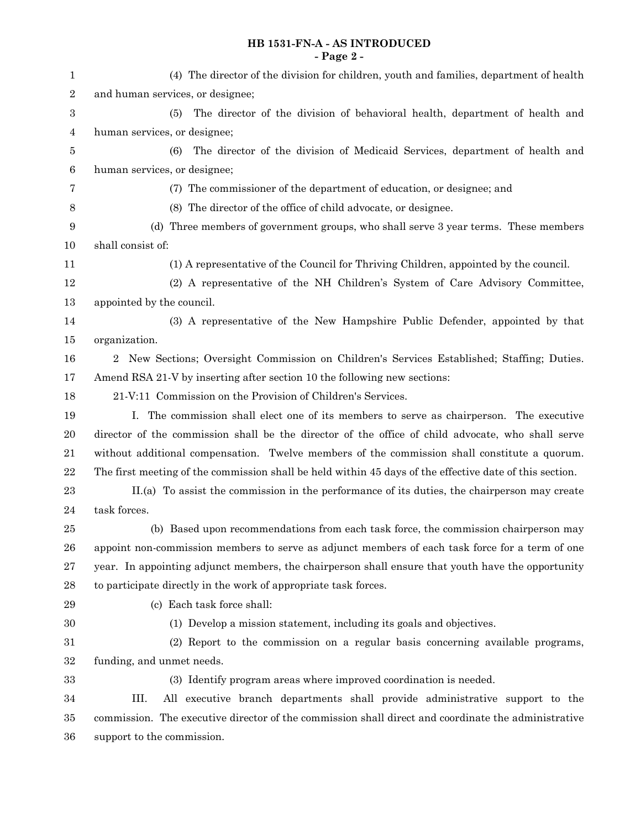## **HB 1531-FN-A - AS INTRODUCED - Page 2 -**

| $\mathbf{1}$   | (4) The director of the division for children, youth and families, department of health                 |  |  |  |  |
|----------------|---------------------------------------------------------------------------------------------------------|--|--|--|--|
| $\,2$          | and human services, or designee;                                                                        |  |  |  |  |
| $\,3$          | The director of the division of behavioral health, department of health and<br>(5)                      |  |  |  |  |
| $\overline{4}$ | human services, or designee;                                                                            |  |  |  |  |
| $\bf 5$        | The director of the division of Medicaid Services, department of health and<br>(6)                      |  |  |  |  |
| $\,6$          | human services, or designee;                                                                            |  |  |  |  |
| 7              | (7) The commissioner of the department of education, or designee; and                                   |  |  |  |  |
| 8              | (8) The director of the office of child advocate, or designee.                                          |  |  |  |  |
| 9              | (d) Three members of government groups, who shall serve 3 year terms. These members                     |  |  |  |  |
| 10             | shall consist of:                                                                                       |  |  |  |  |
| 11             | (1) A representative of the Council for Thriving Children, appointed by the council.                    |  |  |  |  |
| 12             | (2) A representative of the NH Children's System of Care Advisory Committee,                            |  |  |  |  |
| 13             | appointed by the council.                                                                               |  |  |  |  |
| 14             | (3) A representative of the New Hampshire Public Defender, appointed by that                            |  |  |  |  |
| 15             | organization.                                                                                           |  |  |  |  |
| 16             | 2 New Sections; Oversight Commission on Children's Services Established; Staffing; Duties.              |  |  |  |  |
| 17             | Amend RSA 21-V by inserting after section 10 the following new sections:                                |  |  |  |  |
| 18             | 21-V:11 Commission on the Provision of Children's Services.                                             |  |  |  |  |
| 19             | I. The commission shall elect one of its members to serve as chairperson. The executive                 |  |  |  |  |
| 20             | director of the commission shall be the director of the office of child advocate, who shall serve       |  |  |  |  |
| 21             | without additional compensation. Twelve members of the commission shall constitute a quorum.            |  |  |  |  |
| $22\,$         | The first meeting of the commission shall be held within 45 days of the effective date of this section. |  |  |  |  |
| 23             | II.(a) To assist the commission in the performance of its duties, the chairperson may create            |  |  |  |  |
| 24             | task forces.                                                                                            |  |  |  |  |
| 25             | (b) Based upon recommendations from each task force, the commission chairperson may                     |  |  |  |  |
| ${\bf 26}$     | appoint non-commission members to serve as adjunct members of each task force for a term of one         |  |  |  |  |
| $\sqrt{27}$    | year. In appointing adjunct members, the chairperson shall ensure that youth have the opportunity       |  |  |  |  |
| $\bf{28}$      | to participate directly in the work of appropriate task forces.                                         |  |  |  |  |
| 29             | (c) Each task force shall:                                                                              |  |  |  |  |
| 30             | (1) Develop a mission statement, including its goals and objectives.                                    |  |  |  |  |
| 31             | (2) Report to the commission on a regular basis concerning available programs,                          |  |  |  |  |
| $32\,$         | funding, and unmet needs.                                                                               |  |  |  |  |
| 33             | (3) Identify program areas where improved coordination is needed.                                       |  |  |  |  |
| 34             | III.<br>All executive branch departments shall provide administrative support to the                    |  |  |  |  |
| $35\,$         | commission. The executive director of the commission shall direct and coordinate the administrative     |  |  |  |  |
| 36             | support to the commission.                                                                              |  |  |  |  |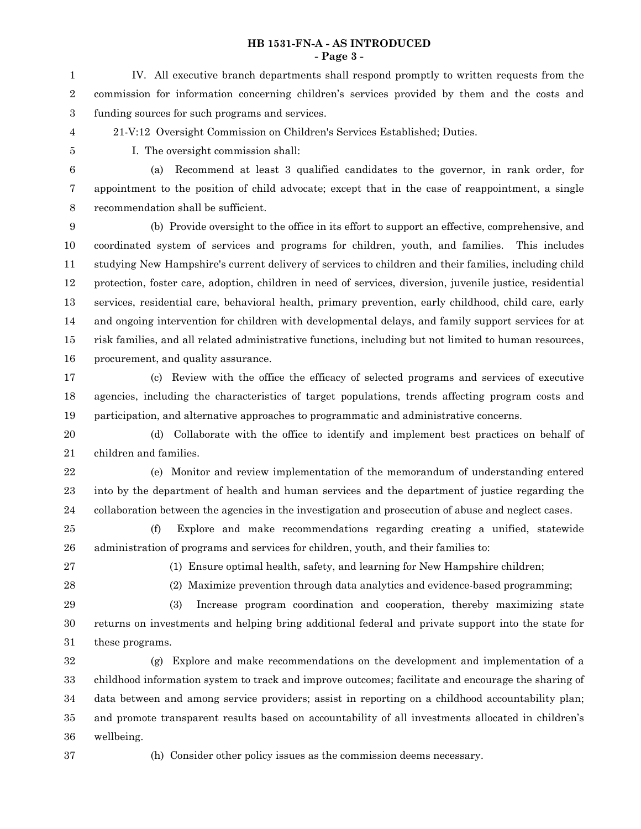**HB 1531-FN-A - AS INTRODUCED - Page 3 -**

IV. All executive branch departments shall respond promptly to written requests from the commission for information concerning children's services provided by them and the costs and funding sources for such programs and services. 1 2 3

21-V:12 Oversight Commission on Children's Services Established; Duties.

4 5

I. The oversight commission shall:

6

(a) Recommend at least 3 qualified candidates to the governor, in rank order, for appointment to the position of child advocate; except that in the case of reappointment, a single recommendation shall be sufficient. 7 8

(b) Provide oversight to the office in its effort to support an effective, comprehensive, and coordinated system of services and programs for children, youth, and families. This includes studying New Hampshire's current delivery of services to children and their families, including child protection, foster care, adoption, children in need of services, diversion, juvenile justice, residential services, residential care, behavioral health, primary prevention, early childhood, child care, early and ongoing intervention for children with developmental delays, and family support services for at risk families, and all related administrative functions, including but not limited to human resources, procurement, and quality assurance. 9 10 11 12 13 14 15 16

(c) Review with the office the efficacy of selected programs and services of executive agencies, including the characteristics of target populations, trends affecting program costs and participation, and alternative approaches to programmatic and administrative concerns. 17 18 19

(d) Collaborate with the office to identify and implement best practices on behalf of children and families. 20 21

(e) Monitor and review implementation of the memorandum of understanding entered into by the department of health and human services and the department of justice regarding the collaboration between the agencies in the investigation and prosecution of abuse and neglect cases. 22 23 24

(f) Explore and make recommendations regarding creating a unified, statewide administration of programs and services for children, youth, and their families to: 25 26

27

(1) Ensure optimal health, safety, and learning for New Hampshire children;

28

(2) Maximize prevention through data analytics and evidence-based programming;

(3) Increase program coordination and cooperation, thereby maximizing state returns on investments and helping bring additional federal and private support into the state for these programs. 29 30 31

(g) Explore and make recommendations on the development and implementation of a childhood information system to track and improve outcomes; facilitate and encourage the sharing of data between and among service providers; assist in reporting on a childhood accountability plan; and promote transparent results based on accountability of all investments allocated in children's wellbeing. 32 33 34 35 36

37

(h) Consider other policy issues as the commission deems necessary.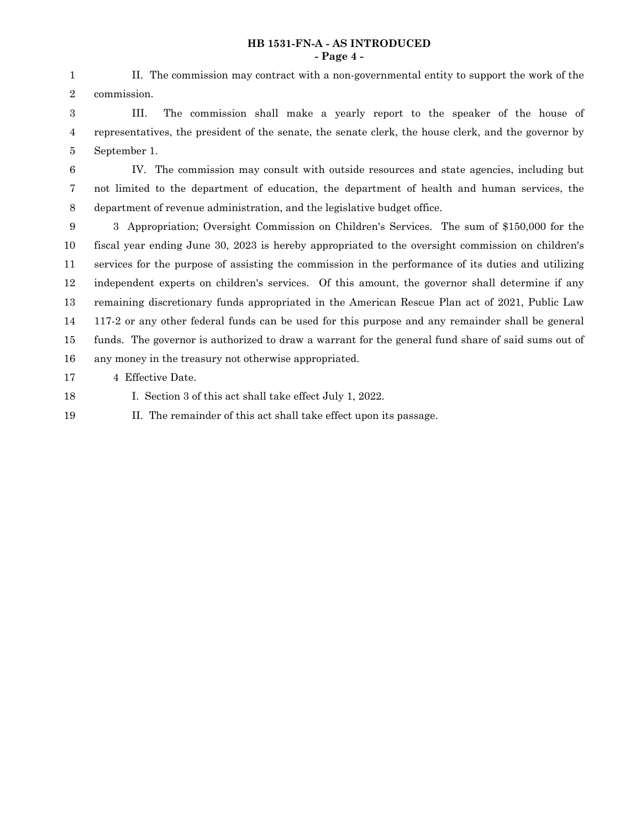#### **HB 1531-FN-A - AS INTRODUCED - Page 4 -**

II. The commission may contract with a non-governmental entity to support the work of the commission. 1 2

III. The commission shall make a yearly report to the speaker of the house of representatives, the president of the senate, the senate clerk, the house clerk, and the governor by September 1. 3 4 5

IV. The commission may consult with outside resources and state agencies, including but not limited to the department of education, the department of health and human services, the department of revenue administration, and the legislative budget office. 6 7 8

3 Appropriation; Oversight Commission on Children's Services. The sum of \$150,000 for the fiscal year ending June 30, 2023 is hereby appropriated to the oversight commission on children's services for the purpose of assisting the commission in the performance of its duties and utilizing independent experts on children's services. Of this amount, the governor shall determine if any remaining discretionary funds appropriated in the American Rescue Plan act of 2021, Public Law 117-2 or any other federal funds can be used for this purpose and any remainder shall be general funds. The governor is authorized to draw a warrant for the general fund share of said sums out of any money in the treasury not otherwise appropriated. 9 10 11 12 13 14 15 16

4 Effective Date. 17

I. Section 3 of this act shall take effect July 1, 2022. 18

II. The remainder of this act shall take effect upon its passage. 19